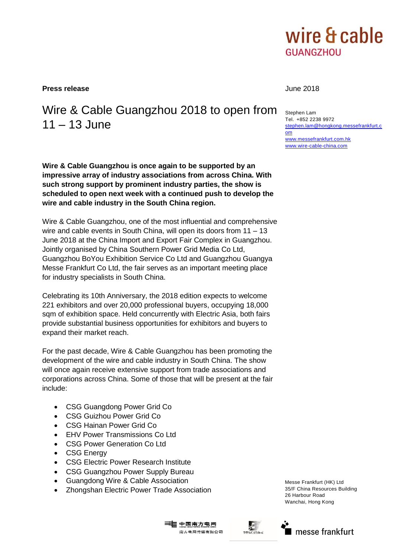

[stephen.lam@hongkong.messefrankfurt.c](mailto:stephen.lam@hongkong.messefrankfurt.com)

[www.messefrankfurt.com.hk](http://www.messefrankfurt.com.hk/) [www.wire-cable-china.com](http://www.wire-cable-china.com/)

**Press release** June 2018

Stephen Lam Tel. +852 2238 9972

[om](mailto:stephen.lam@hongkong.messefrankfurt.com)

# Wire & Cable Guangzhou 2018 to open from 11 – 13 June

**Wire & Cable Guangzhou is once again to be supported by an impressive array of industry associations from across China. With such strong support by prominent industry parties, the show is scheduled to open next week with a continued push to develop the wire and cable industry in the South China region.**

Wire & Cable Guangzhou, one of the most influential and comprehensive wire and cable events in South China, will open its doors from 11 – 13 June 2018 at the China Import and Export Fair Complex in Guangzhou. Jointly organised by China Southern Power Grid Media Co Ltd, Guangzhou BoYou Exhibition Service Co Ltd and Guangzhou Guangya Messe Frankfurt Co Ltd, the fair serves as an important meeting place for industry specialists in South China.

Celebrating its 10th Anniversary, the 2018 edition expects to welcome 221 exhibitors and over 20,000 professional buyers, occupying 18,000 sqm of exhibition space. Held concurrently with Electric Asia, both fairs provide substantial business opportunities for exhibitors and buyers to expand their market reach.

For the past decade, Wire & Cable Guangzhou has been promoting the development of the wire and cable industry in South China. The show will once again receive extensive support from trade associations and corporations across China. Some of those that will be present at the fair include:

- CSG Guangdong Power Grid Co
- CSG Guizhou Power Grid Co
- CSG Hainan Power Grid Co
- EHV Power Transmissions Co Ltd
- CSG Power Generation Co Ltd
- CSG Energy
- CSG Electric Power Research Institute
- CSG Guangzhou Power Supply Bureau
- Guangdong Wire & Cable Association
- Zhongshan Electric Power Trade Association

Messe Frankfurt (HK) Ltd 35/F China Resources Building 26 Harbour Road Wanchai, Hong Kong





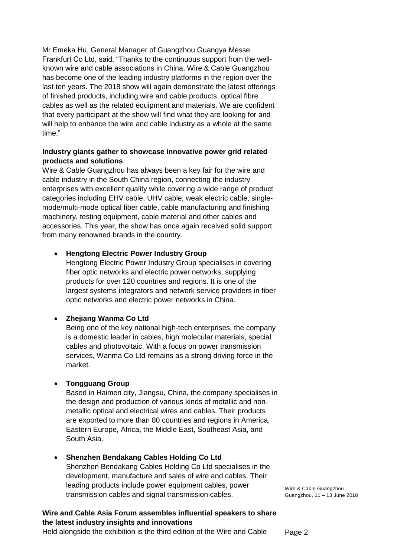Mr Emeka Hu, General Manager of Guangzhou Guangya Messe Frankfurt Co Ltd, said, "Thanks to the continuous support from the wellknown wire and cable associations in China, Wire & Cable Guangzhou has become one of the leading industry platforms in the region over the last ten years. The 2018 show will again demonstrate the latest offerings of finished products, including wire and cable products, optical fibre cables as well as the related equipment and materials. We are confident that every participant at the show will find what they are looking for and will help to enhance the wire and cable industry as a whole at the same time."

#### **Industry giants gather to showcase innovative power grid related products and solutions**

Wire & Cable Guangzhou has always been a key fair for the wire and cable industry in the South China region, connecting the industry enterprises with excellent quality while covering a wide range of product categories including EHV cable, UHV cable, weak electric cable, singlemode/multi-mode optical fiber cable, cable manufacturing and finishing machinery, testing equipment, cable material and other cables and accessories. This year, the show has once again received solid support from many renowned brands in the country.

### **Hengtong Electric Power Industry Group**

Hengtong Electric Power Industry Group specialises in covering fiber optic networks and electric power networks, supplying products for over 120 countries and regions. It is one of the largest systems integrators and network service providers in fiber optic networks and electric power networks in China.

### **Zhejiang Wanma Co Ltd**

Being one of the key national high-tech enterprises, the company is a domestic leader in cables, high molecular materials, special cables and photovoltaic. With a focus on power transmission services, Wanma Co Ltd remains as a strong driving force in the market.

#### **Tongguang Group**

Based in Haimen city, Jiangsu, China, the company specialises in the design and production of various kinds of metallic and nonmetallic optical and electrical wires and cables. Their products are exported to more than 80 countries and regions in America, Eastern Europe, Africa, the Middle East, Southeast Asia, and South Asia.

### **Shenzhen Bendakang Cables Holding Co Ltd**

Shenzhen Bendakang Cables Holding Co Ltd specialises in the development, manufacture and sales of wire and cables. Their leading products include power equipment cables, power transmission cables and signal transmission cables.

## **Wire and Cable Asia Forum assembles influential speakers to share the latest industry insights and innovations**

Held alongside the exhibition is the third edition of the Wire and Cable

Wire & Cable Guangzhou Guangzhou, 11 – 13 June 2018

Page 2